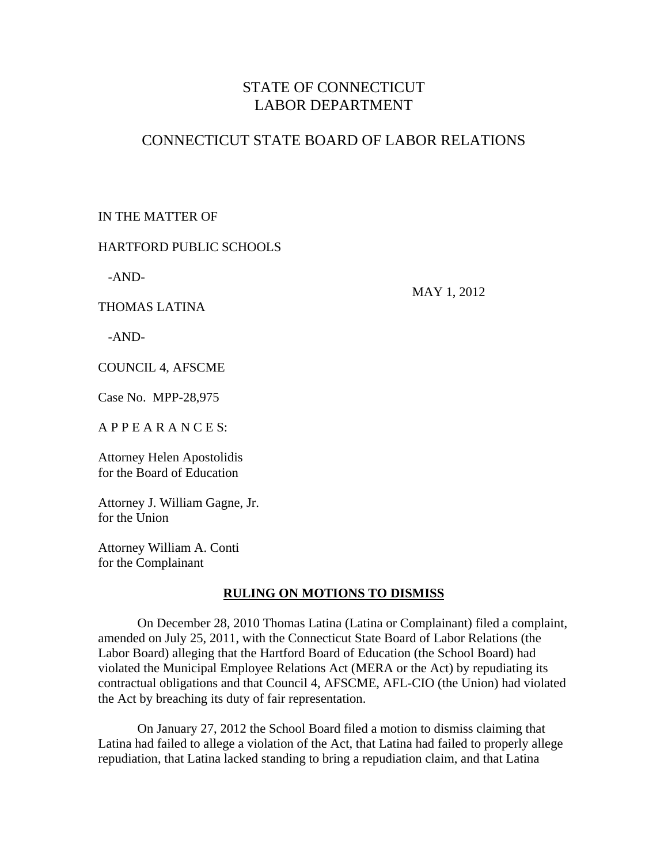# STATE OF CONNECTICUT LABOR DEPARTMENT

# CONNECTICUT STATE BOARD OF LABOR RELATIONS

## IN THE MATTER OF

## HARTFORD PUBLIC SCHOOLS

-AND-

THOMAS LATINA

MAY 1, 2012

-AND-

COUNCIL 4, AFSCME

Case No. MPP-28,975

A P P E A R A N C E S:

Attorney Helen Apostolidis for the Board of Education

Attorney J. William Gagne, Jr. for the Union

Attorney William A. Conti for the Complainant

## **RULING ON MOTIONS TO DISMISS**

 On December 28, 2010 Thomas Latina (Latina or Complainant) filed a complaint, amended on July 25, 2011, with the Connecticut State Board of Labor Relations (the Labor Board) alleging that the Hartford Board of Education (the School Board) had violated the Municipal Employee Relations Act (MERA or the Act) by repudiating its contractual obligations and that Council 4, AFSCME, AFL-CIO (the Union) had violated the Act by breaching its duty of fair representation.

 On January 27, 2012 the School Board filed a motion to dismiss claiming that Latina had failed to allege a violation of the Act, that Latina had failed to properly allege repudiation, that Latina lacked standing to bring a repudiation claim, and that Latina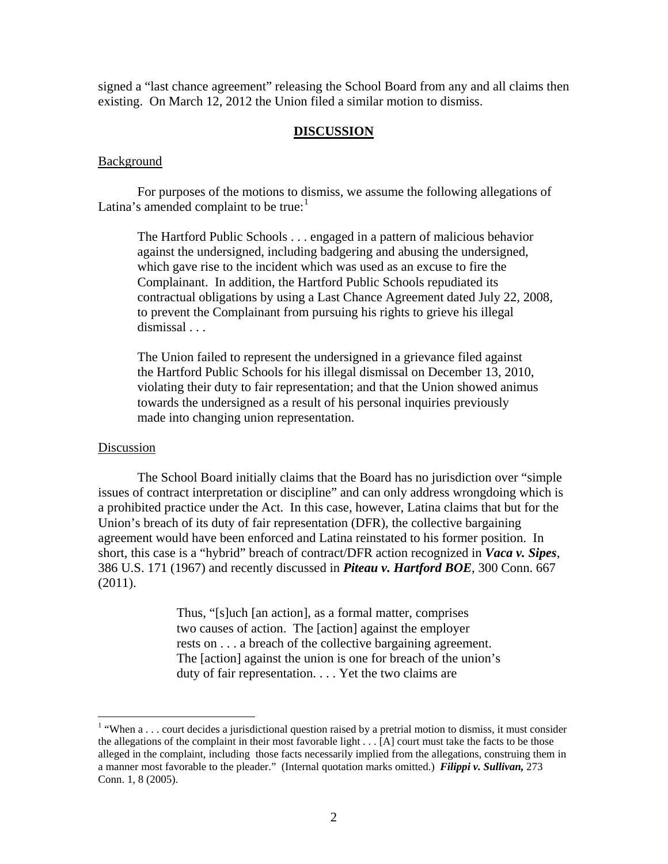signed a "last chance agreement" releasing the School Board from any and all claims then existing. On March 12, 2012 the Union filed a similar motion to dismiss.

#### **DISCUSSION**

#### **Background**

 For purposes of the motions to dismiss, we assume the following allegations of Latina's amended complaint to be true: $<sup>1</sup>$  $<sup>1</sup>$  $<sup>1</sup>$ </sup>

 The Hartford Public Schools . . . engaged in a pattern of malicious behavior against the undersigned, including badgering and abusing the undersigned, which gave rise to the incident which was used as an excuse to fire the Complainant. In addition, the Hartford Public Schools repudiated its contractual obligations by using a Last Chance Agreement dated July 22, 2008, to prevent the Complainant from pursuing his rights to grieve his illegal dismissal . . .

The Union failed to represent the undersigned in a grievance filed against the Hartford Public Schools for his illegal dismissal on December 13, 2010, violating their duty to fair representation; and that the Union showed animus towards the undersigned as a result of his personal inquiries previously made into changing union representation.

#### Discussion

The School Board initially claims that the Board has no jurisdiction over "simple issues of contract interpretation or discipline" and can only address wrongdoing which is a prohibited practice under the Act. In this case, however, Latina claims that but for the Union's breach of its duty of fair representation (DFR), the collective bargaining agreement would have been enforced and Latina reinstated to his former position. In short, this case is a "hybrid" breach of contract/DFR action recognized in *Vaca v. Sipes*, 386 U.S. 171 (1967) and recently discussed in *Piteau v. Hartford BOE*, 300 Conn. 667  $(2011).$ 

> Thus, "[s]uch [an action], as a formal matter, comprises two causes of action. The [action] against the employer rests on . . . a breach of the collective bargaining agreement. The [action] against the union is one for breach of the union's duty of fair representation. . . . Yet the two claims are

<span id="page-1-0"></span><sup>&</sup>lt;sup>1</sup> "When a . . . court decides a jurisdictional question raised by a pretrial motion to dismiss, it must consider the allegations of the complaint in their most favorable light . . . [A] court must take the facts to be those alleged in the complaint, including those facts necessarily implied from the allegations, construing them in a manner most favorable to the pleader." (Internal quotation marks omitted.) *Filippi v. Sullivan,* 273 Conn. 1, 8 (2005).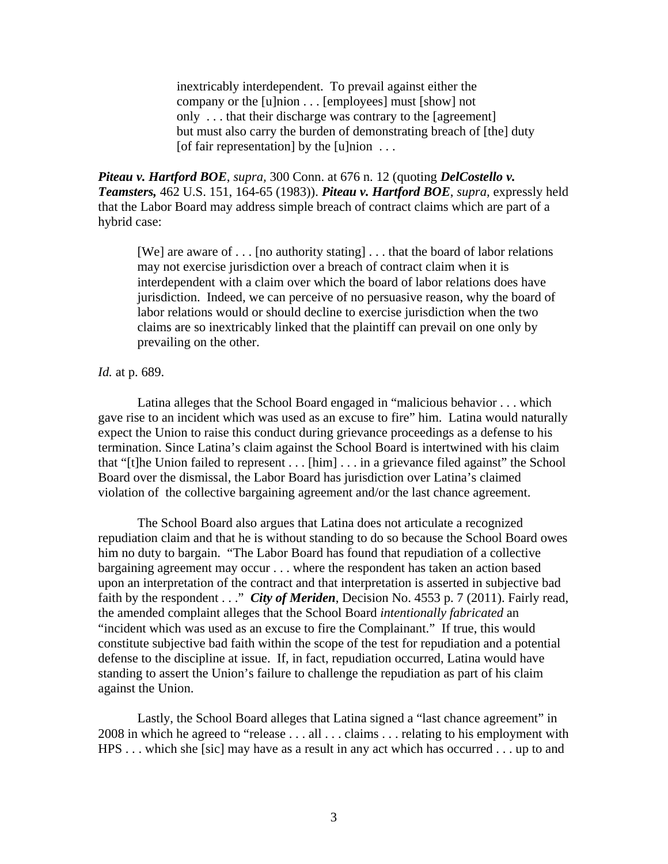inextricably interdependent. To prevail against either the company or the [u]nion . . . [employees] must [show] not only . . . that their discharge was contrary to the [agreement] but must also carry the burden of demonstrating breach of [the] duty [of fair representation] by the  $[u]$ nion  $\dots$ 

*Piteau v. Hartford BOE*, *supra,* 300 Conn. at 676 n. 12 (quoting *DelCostello v. Teamsters,* 462 U.S. 151, 164-65 (1983)). *Piteau v. Hartford BOE*, *supra,* expressly held that the Labor Board may address simple breach of contract claims which are part of a hybrid case:

[We] are aware of . . . [no authority stating] . . . that the board of labor relations may not exercise jurisdiction over a breach of contract claim when it is interdependent with a claim over which the board of labor relations does have jurisdiction. Indeed, we can perceive of no persuasive reason, why the board of labor relations would or should decline to exercise jurisdiction when the two claims are so inextricably linked that the plaintiff can prevail on one only by prevailing on the other.

### *Id.* at p. 689.

 Latina alleges that the School Board engaged in "malicious behavior . . . which gave rise to an incident which was used as an excuse to fire" him. Latina would naturally expect the Union to raise this conduct during grievance proceedings as a defense to his termination. Since Latina's claim against the School Board is intertwined with his claim that "[t]he Union failed to represent . . . [him] . . . in a grievance filed against" the School Board over the dismissal, the Labor Board has jurisdiction over Latina's claimed violation of the collective bargaining agreement and/or the last chance agreement.

 The School Board also argues that Latina does not articulate a recognized repudiation claim and that he is without standing to do so because the School Board owes him no duty to bargain. "The Labor Board has found that repudiation of a collective bargaining agreement may occur . . . where the respondent has taken an action based upon an interpretation of the contract and that interpretation is asserted in subjective bad faith by the respondent . . ." *City of Meriden*, Decision No. 4553 p. 7 (2011). Fairly read, the amended complaint alleges that the School Board *intentionally fabricated* an "incident which was used as an excuse to fire the Complainant." If true, this would constitute subjective bad faith within the scope of the test for repudiation and a potential defense to the discipline at issue. If, in fact, repudiation occurred, Latina would have standing to assert the Union's failure to challenge the repudiation as part of his claim against the Union.

 Lastly, the School Board alleges that Latina signed a "last chance agreement" in 2008 in which he agreed to "release . . . all . . . claims . . . relating to his employment with HPS . . . which she [sic] may have as a result in any act which has occurred . . . up to and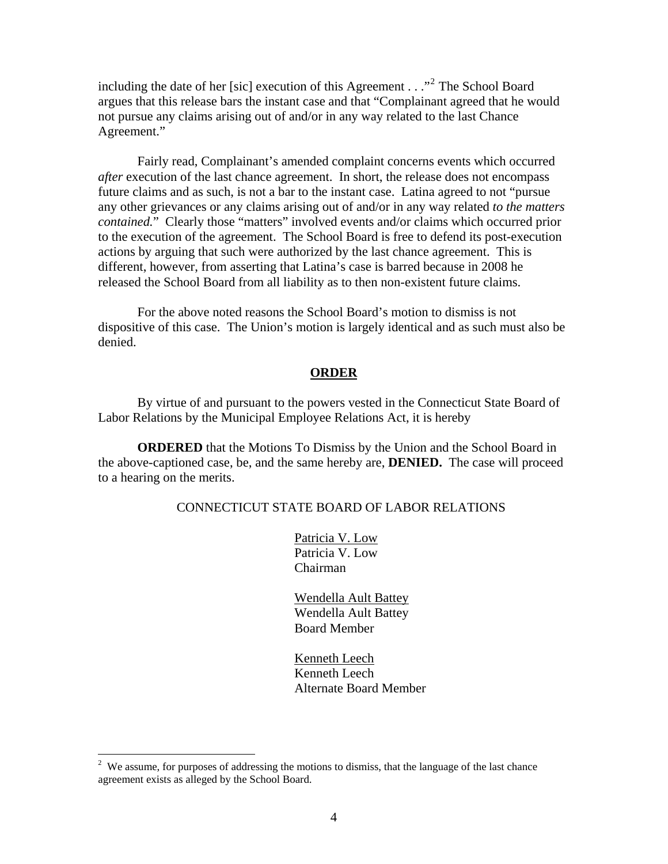including the date of her [sic] execution of this Agreement  $\ldots$ <sup>[2](#page-3-0)</sup> The School Board argues that this release bars the instant case and that "Complainant agreed that he would not pursue any claims arising out of and/or in any way related to the last Chance Agreement."

 Fairly read, Complainant's amended complaint concerns events which occurred *after* execution of the last chance agreement. In short, the release does not encompass future claims and as such, is not a bar to the instant case. Latina agreed to not "pursue any other grievances or any claims arising out of and/or in any way related *to the matters contained.*" Clearly those "matters" involved events and/or claims which occurred prior to the execution of the agreement. The School Board is free to defend its post-execution actions by arguing that such were authorized by the last chance agreement. This is different, however, from asserting that Latina's case is barred because in 2008 he released the School Board from all liability as to then non-existent future claims.

 For the above noted reasons the School Board's motion to dismiss is not dispositive of this case. The Union's motion is largely identical and as such must also be denied.

### **ORDER**

 By virtue of and pursuant to the powers vested in the Connecticut State Board of Labor Relations by the Municipal Employee Relations Act, it is hereby

**ORDERED** that the Motions To Dismiss by the Union and the School Board in the above-captioned case, be, and the same hereby are, **DENIED.** The case will proceed to a hearing on the merits.

### CONNECTICUT STATE BOARD OF LABOR RELATIONS

 Patricia V. Low Patricia V. Low Chairman

 Wendella Ault Battey Wendella Ault Battey Board Member

 Kenneth Leech Kenneth Leech Alternate Board Member

 $\overline{a}$ 

<span id="page-3-0"></span> $2$  We assume, for purposes of addressing the motions to dismiss, that the language of the last chance agreement exists as alleged by the School Board.